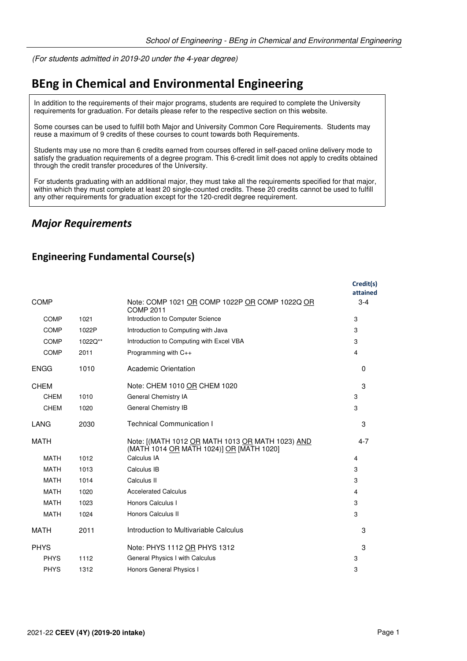(For students admitted in 2019-20 under the 4-year degree)

# **BEng in Chemical and Environmental Engineering**

In addition to the requirements of their major programs, students are required to complete the University requirements for graduation. For details please refer to the respective section on this website.

Some courses can be used to fulfill both Major and University Common Core Requirements. Students may reuse a maximum of 9 credits of these courses to count towards both Requirements.

Students may use no more than 6 credits earned from courses offered in self-paced online delivery mode to satisfy the graduation requirements of a degree program. This 6-credit limit does not apply to credits obtained through the credit transfer procedures of the University.

For students graduating with an additional major, they must take all the requirements specified for that major, within which they must complete at least 20 single-counted credits. These 20 credits cannot be used to fulfill any other requirements for graduation except for the 120-credit degree requirement.

## *Major Requirements*

#### **Engineering Fundamental Course(s)**

|             |         |                                                                                              | Credit(s)<br>attained |
|-------------|---------|----------------------------------------------------------------------------------------------|-----------------------|
| <b>COMP</b> |         | Note: COMP 1021 OR COMP 1022P OR COMP 1022Q OR<br><b>COMP 2011</b>                           | $3 - 4$               |
| <b>COMP</b> | 1021    | Introduction to Computer Science                                                             | 3                     |
| COMP        | 1022P   | Introduction to Computing with Java                                                          | 3                     |
| <b>COMP</b> | 1022Q** | Introduction to Computing with Excel VBA                                                     | 3                     |
| <b>COMP</b> | 2011    | Programming with $C_{++}$                                                                    | 4                     |
| <b>ENGG</b> | 1010    | Academic Orientation                                                                         | $\Omega$              |
| <b>CHEM</b> |         | Note: CHEM 1010 OR CHEM 1020                                                                 | 3                     |
| <b>CHEM</b> | 1010    | General Chemistry IA                                                                         | 3                     |
| <b>CHEM</b> | 1020    | General Chemistry IB                                                                         | 3                     |
| LANG        | 2030    | <b>Technical Communication I</b>                                                             | 3                     |
| <b>MATH</b> |         | Note: [(MATH 1012 OR MATH 1013 OR MATH 1023) AND<br>(MATH 1014 OR MATH 1024)] OR [MATH 1020] | $4 - 7$               |
| <b>MATH</b> | 1012    | Calculus IA                                                                                  | 4                     |
| <b>MATH</b> | 1013    | Calculus IB                                                                                  | 3                     |
| <b>MATH</b> | 1014    | Calculus II                                                                                  | 3                     |
| <b>MATH</b> | 1020    | <b>Accelerated Calculus</b>                                                                  | 4                     |
| <b>MATH</b> | 1023    | Honors Calculus I                                                                            | 3                     |
| <b>MATH</b> | 1024    | Honors Calculus II                                                                           | 3                     |
| <b>MATH</b> | 2011    | Introduction to Multivariable Calculus                                                       | 3                     |
| <b>PHYS</b> |         | Note: PHYS 1112 OR PHYS 1312                                                                 | 3                     |
| <b>PHYS</b> | 1112    | General Physics I with Calculus                                                              | 3                     |
| <b>PHYS</b> | 1312    | Honors General Physics I                                                                     | 3                     |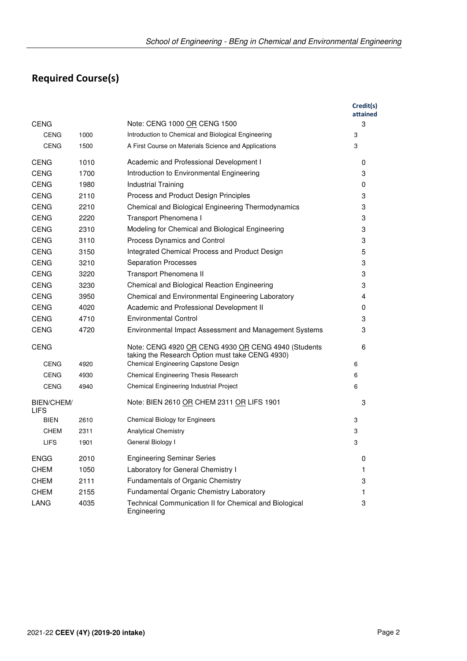# **Required Course(s)**

|                                  |      |                                                                                                        | Credit(s)<br>attained |
|----------------------------------|------|--------------------------------------------------------------------------------------------------------|-----------------------|
| <b>CENG</b>                      |      | Note: CENG 1000 OR CENG 1500                                                                           | 3                     |
| <b>CENG</b>                      | 1000 | Introduction to Chemical and Biological Engineering                                                    | 3                     |
| <b>CENG</b>                      | 1500 | A First Course on Materials Science and Applications                                                   | 3                     |
| <b>CENG</b>                      | 1010 | Academic and Professional Development I                                                                | 0                     |
| <b>CENG</b>                      | 1700 | Introduction to Environmental Engineering                                                              | 3                     |
| <b>CENG</b>                      | 1980 | <b>Industrial Training</b>                                                                             | 0                     |
| <b>CENG</b>                      | 2110 | Process and Product Design Principles                                                                  | 3                     |
| <b>CENG</b>                      | 2210 | Chemical and Biological Engineering Thermodynamics                                                     | 3                     |
| <b>CENG</b>                      | 2220 | Transport Phenomena I                                                                                  | 3                     |
| <b>CENG</b>                      | 2310 | Modeling for Chemical and Biological Engineering                                                       | 3                     |
| <b>CENG</b>                      | 3110 | Process Dynamics and Control                                                                           | 3                     |
| <b>CENG</b>                      | 3150 | Integrated Chemical Process and Product Design                                                         | 5                     |
| <b>CENG</b>                      | 3210 | <b>Separation Processes</b>                                                                            | 3                     |
| <b>CENG</b>                      | 3220 | Transport Phenomena II                                                                                 | 3                     |
| <b>CENG</b>                      | 3230 | Chemical and Biological Reaction Engineering                                                           | 3                     |
| <b>CENG</b>                      | 3950 | Chemical and Environmental Engineering Laboratory                                                      | 4                     |
| <b>CENG</b>                      | 4020 | Academic and Professional Development II                                                               | 0                     |
| <b>CENG</b>                      | 4710 | <b>Environmental Control</b>                                                                           | 3                     |
| <b>CENG</b>                      | 4720 | Environmental Impact Assessment and Management Systems                                                 | 3                     |
| <b>CENG</b>                      |      | Note: CENG 4920 OR CENG 4930 OR CENG 4940 (Students<br>taking the Research Option must take CENG 4930) | 6                     |
| <b>CENG</b>                      | 4920 | Chemical Engineering Capstone Design                                                                   | 6                     |
| <b>CENG</b>                      | 4930 | Chemical Engineering Thesis Research                                                                   | 6                     |
| <b>CENG</b>                      | 4940 | Chemical Engineering Industrial Project                                                                | 6                     |
| <b>BIEN/CHEM/</b><br><b>LIFS</b> |      | Note: BIEN 2610 OR CHEM 2311 OR LIFS 1901                                                              | 3                     |
| <b>BIEN</b>                      | 2610 | <b>Chemical Biology for Engineers</b>                                                                  | 3                     |
| CHEM                             | 2311 | <b>Analytical Chemistry</b>                                                                            | 3                     |
| <b>LIFS</b>                      | 1901 | General Biology I                                                                                      | 3                     |
| <b>ENGG</b>                      | 2010 | <b>Engineering Seminar Series</b>                                                                      | 0                     |
| <b>CHEM</b>                      | 1050 | Laboratory for General Chemistry I                                                                     | 1                     |
| <b>CHEM</b>                      | 2111 | Fundamentals of Organic Chemistry                                                                      | 3                     |
| <b>CHEM</b>                      | 2155 | Fundamental Organic Chemistry Laboratory                                                               | 1                     |
| LANG                             | 4035 | Technical Communication II for Chemical and Biological<br>Engineering                                  | 3                     |